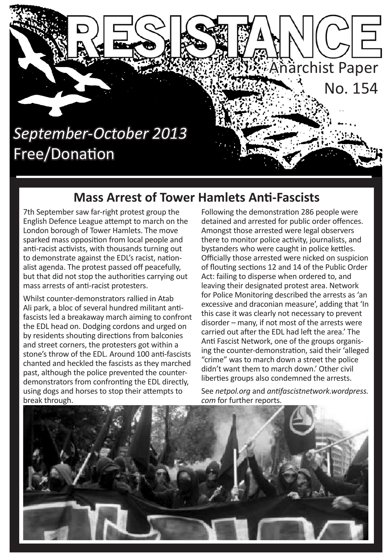

### **Mass Arrest of Tower Hamlets Anti-Fascists**

7th September saw far-right protest group the English Defence League attempt to march on the London borough of Tower Hamlets. The move sparked mass opposition from local people and anti-racist activists, with thousands turning out to demonstrate against the EDL's racist, nationalist agenda. The protest passed off peacefully, but that did not stop the authorities carrying out mass arrests of anti-racist protesters.

Whilst counter-demonstrators rallied in Atab Ali park, a bloc of several hundred militant antifascists led a breakaway march aiming to confront the EDL head on. Dodging cordons and urged on by residents shouting directions from balconies and street corners, the protesters got within a stone's throw of the EDL. Around 100 anti-fascists chanted and heckled the fascists as they marched past, although the police prevented the counterdemonstrators from confronting the EDL directly, using dogs and horses to stop their attempts to break through.

Following the demonstration 286 people were detained and arrested for public order offences. Amongst those arrested were legal observers there to monitor police activity, journalists, and bystanders who were caught in police kettles. Officially those arrested were nicked on suspicion of flouting sections 12 and 14 of the Public Order Act: failing to disperse when ordered to, and leaving their designated protest area. Network for Police Monitoring described the arrests as 'an excessive and draconian measure', adding that 'In this case it was clearly not necessary to prevent disorder – many, if not most of the arrests were carried out after the EDL had left the area.' The Anti Fascist Network, one of the groups organising the counter-demonstration, said their 'alleged "crime" was to march down a street the police didn't want them to march down.' Other civil liberties groups also condemned the arrests.

See *netpol.org* and *antifascistnetwork.wordpress. com* for further reports.

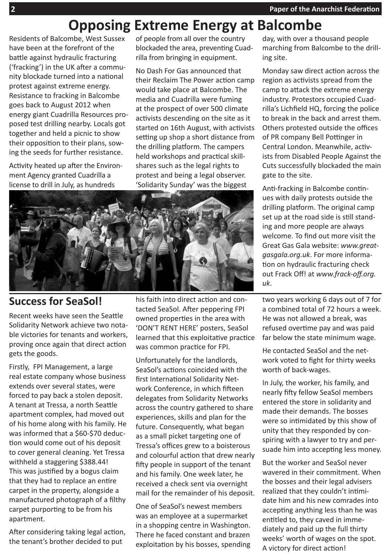## **Opposing Extreme Energy at Balcombe**

Residents of Balcombe, West Sussex have been at the forefront of the battle against hydraulic fracturing ('fracking') in the UK after a community blockade turned into a national protest against extreme energy. Resistance to fracking in Balcombe goes back to August 2012 when energy giant Cuadrilla Resources proposed test drilling nearby. Locals got together and held a picnic to show their opposition to their plans, sowing the seeds for further resistance.

Activity heated up after the Environment Agency granted Cuadrilla a license to drill in July, as hundreds

of people from all over the country blockaded the area, preventing Cuadrilla from bringing in equipment.

No Dash For Gas announced that their Reclaim The Power action camp would take place at Balcombe. The media and Cuadrilla were fuming at the prospect of over 500 climate activists descending on the site as it started on 16th August, with activists setting up shop a short distance from the drilling platform. The campers held workshops and practical skillshares such as the legal rights to protest and being a legal observer. 'Solidarity Sunday' was the biggest



#### **Success for SeaSol!**

Recent weeks have seen the Seattle Solidarity Network achieve two notable victories for tenants and workers, proving once again that direct action gets the goods.

Firstly, FPI Management, a large real estate company whose business extends over several states, were forced to pay back a stolen deposit. A tenant at Tressa, a north Seattle apartment complex, had moved out of his home along with his family. He was informed that a \$60-\$70 deduction would come out of his deposit to cover general cleaning. Yet Tressa withheld a staggering \$388.44! This was justified by a bogus claim that they had to replace an entire carpet in the property, alongside a manufactured photograph of a filthy carpet purporting to be from his apartment.

After considering taking legal action, the tenant's brother decided to put

his faith into direct action and contacted SeaSol. After peppering FPI owned properties in the area with 'DON'T RENT HERE' posters, SeaSol learned that this exploitative practice was common practice for FPI.

Unfortunately for the landlords, SeaSol's actions coincided with the first International Solidarity Network Conference, in which fifteen delegates from Solidarity Networks across the country gathered to share experiences, skills and plan for the future. Consequently, what began as a small picket targeting one of Tressa's offices grew to a boisterous and colourful action that drew nearly fifty people in support of the tenant and his family. One week later, he received a check sent via overnight mail for the remainder of his deposit.

One of SeaSol's newest members was an employee at a supermarket in a shopping centre in Washington. There he faced constant and brazen exploitation by his bosses, spending

day, with over a thousand people marching from Balcombe to the drilling site.

Monday saw direct action across the region as activists spread from the camp to attack the extreme energy industry. Protestors occupied Cuadrilla's Lichfield HQ, forcing the police to break in the back and arrest them. Others protested outside the offices of PR company Bell Pottinger in Central London. Meanwhile, activists from Disabled People Against the Cuts successfully blockaded the main gate to the site.

Anti-fracking in Balcombe continues with daily protests outside the drilling platform. The original camp set up at the road side is still standing and more people are always welcome. To find out more visit the Great Gas Gala website: *www.greatgasgala.org.uk*. For more information on hydraulic fracturing check out Frack Off! at *www.frack-off.org. uk*.

two years working 6 days out of 7 for a combined total of 72 hours a week. He was not allowed a break, was refused overtime pay and was paid far below the state minimum wage.

He contacted SeaSol and the network voted to fight for thirty weeks worth of back-wages.

In July, the worker, his family, and nearly fifty fellow SeaSol members entered the store in solidarity and made their demands. The bosses were so intimidated by this show of unity that they responded by conspiring with a lawyer to try and persuade him into accepting less money.

But the worker and SeaSol never wavered in their commitment. When the bosses and their legal advisers realized that they couldn't intimidate him and his new comrades into accepting anything less than he was entitled to, they caved in immediately and paid up the full thirty weeks' worth of wages on the spot. A victory for direct action!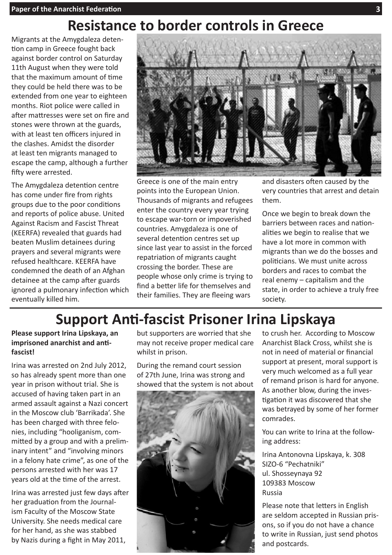## **Resistance to border controls in Greece**

Migrants at the Amygdaleza detention camp in Greece fought back against border control on Saturday 11th August when they were told that the maximum amount of time they could be held there was to be extended from one year to eighteen months. Riot police were called in after mattresses were set on fire and stones were thrown at the guards, with at least ten officers injured in the clashes. Amidst the disorder at least ten migrants managed to escape the camp, although a further fifty were arrested.

The Amygdaleza detention centre has come under fire from rights groups due to the poor conditions and reports of police abuse. United Against Racism and Fascist Threat (KEERFA) revealed that guards had beaten Muslim detainees during prayers and several migrants were refused healthcare. KEERFA have condemned the death of an Afghan detainee at the camp after guards ignored a pulmonary infection which eventually killed him.



Greece is one of the main entry points into the European Union. Thousands of migrants and refugees enter the country every year trying to escape war-torn or impoverished countries. Amygdaleza is one of several detention centres set up since last year to assist in the forced repatriation of migrants caught crossing the border. These are people whose only crime is trying to find a better life for themselves and their families. They are fleeing wars

and disasters often caused by the very countries that arrest and detain them.

Once we begin to break down the barriers between races and nationalities we begin to realise that we have a lot more in common with migrants than we do the bosses and politicians. We must unite across borders and races to combat the real enemy – capitalism and the state, in order to achieve a truly free society.

## **Support Anti-fascist Prisoner Irina Lipskaya**

**Please support Irina Lipskaya, an imprisoned anarchist and antifascist!**

Irina was arrested on 2nd July 2012, so has already spent more than one year in prison without trial. She is accused of having taken part in an armed assault against a Nazi concert in the Moscow club 'Barrikada'. She has been charged with three felonies, including "hooliganism, committed by a group and with a preliminary intent" and "involving minors in a felony hate crime", as one of the persons arrested with her was 17 years old at the time of the arrest.

Irina was arrested just few days after her graduation from the Journalism Faculty of the Moscow State University. She needs medical care for her hand, as she was stabbed by Nazis during a fight in May 2011,

but supporters are worried that she may not receive proper medical care whilst in prison.

During the remand court session of 27th June, Irina was strong and showed that the system is not about



to crush her. According to Moscow Anarchist Black Cross, whilst she is not in need of material or financial support at present, moral support is very much welcomed as a full year of remand prison is hard for anyone. As another blow, during the investigation it was discovered that she was betrayed by some of her former comrades.

You can write to Irina at the following address:

Irina Antonovna Lipskaya, k. 308 SIZO-6 "Pechatniki" ul. Shosseynaya 92 109383 Moscow Russia

Please note that letters in English are seldom accepted in Russian prisons, so if you do not have a chance to write in Russian, just send photos and postcards.